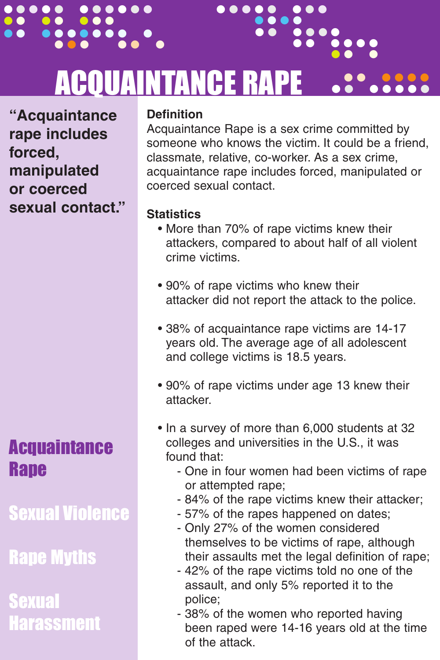### ACQUAINTANCE RAPE .. ....... . . ......<br>. ...<br>... .. . ...<br>....<br>.. .... .. ...<br>....<br>.. .... ...<br>.... ....<br>.. .....<br>.. ..... ..<br>.. ....<br>. .....

..... ...

...

**"Acquaintance rape includes forced, manipulated or coerced sexual contact."**

..... ......

.. .. ...

# **Acquaintance Rape**

Sexual Violence

Rape Myths

Sexual **Harassment** 

### **Definition**

Acquaintance Rape is a sex crime committed by someone who knows the victim. It could be a friend, classmate, relative, co-worker. As a sex crime, acquaintance rape includes forced, manipulated or coerced sexual contact.

## **Statistics**

- More than 70% of rape victims knew their • attackers, compared to about half of all violent crime victims.
- 90% of rape victims who knew their attacker did not report the attack to the police.
- 38% of acquaintance rape victims are 14-17 • years old. The average age of all adolescent and college victims is 18.5 years.
- 90% of rape victims under age 13 knew their • attacker.
- In a survey of more than 6,000 students at 32 • colleges and universities in the U.S., it was found that:
	- - One in four women had been victims of rape • • or attempted rape;
	- - 84% of the rape victims knew their attacker;
	- - 57% of the rapes happened on dates;
	- - Only 27% of the women considered themselves to be victims of rape, although their assaults met the legal definition of rape;
	- - 42% of the rape victims told no one of the assault, and only 5% reported it to the police;
	- - 38% of the women who reported having • • been raped were 14-16 years old at the time of the attack.